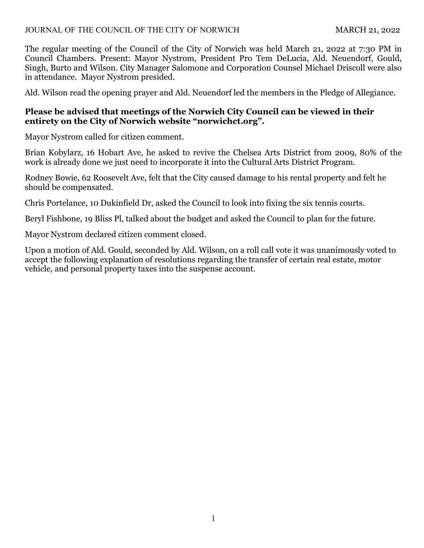The regular meeting of the Council of the City of Norwich was held March 21, 2022 at 7:30 PM in Council Chambers. Present: Mayor Nystrom, President Pro Tem DeLucia, Ald. Neuendorf, Gould, Singh, Burto and Wilson. City Manager Salomone and Corporation Counsel Michael Driscoll were also in attendance. Mayor Nystrom presided.

Ald. Wilson read the opening prayer and Ald. Neuendorf led the members in the Pledge of Allegiance.

# **Please be advised that meetings of the Norwich City Council can be viewed in their entirety on the City of Norwich website "norwichct.org".**

Mayor Nystrom called for citizen comment.

Brian Kobylarz, 16 Hobart Ave, he asked to revive the Chelsea Arts District from 2009, 80% of the work is already done we just need to incorporate it into the Cultural Arts District Program.

Rodney Bowie, 62 Roosevelt Ave, felt that the City caused damage to his rental property and felt he should be compensated.

Chris Portelance, 10 Dukinfield Dr, asked the Council to look into fixing the six tennis courts.

Beryl Fishbone, 19 Bliss Pl, talked about the budget and asked the Council to plan for the future.

Mayor Nystrom declared citizen comment closed.

Upon a motion of Ald. Gould, seconded by Ald. Wilson, on a roll call vote it was unanimously voted to accept the following explanation of resolutions regarding the transfer of certain real estate, motor vehicle, and personal property taxes into the suspense account.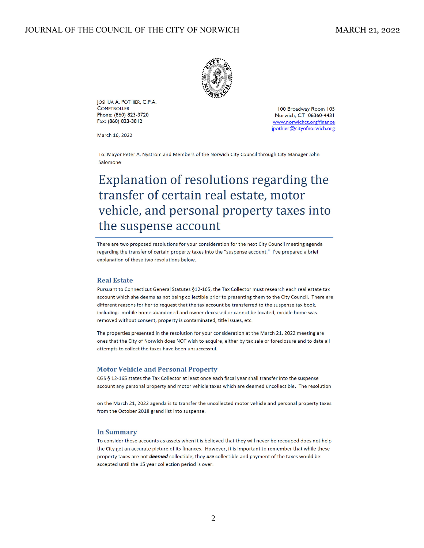

JOSHUA A. POTHIER, C.P.A. **COMPTROLLER** Phone: (860) 823-3720 Fax: (860) 823-3812

100 Broadway Room 105 Norwich, CT 06360-4431 www.norwichct.org/finance jpothier@cityofnorwich.org

March 16, 2022

To: Mayor Peter A. Nystrom and Members of the Norwich City Council through City Manager John Salomone

# Explanation of resolutions regarding the transfer of certain real estate, motor vehicle, and personal property taxes into the suspense account

There are two proposed resolutions for your consideration for the next City Council meeting agenda regarding the transfer of certain property taxes into the "suspense account." I've prepared a brief explanation of these two resolutions below.

#### **Real Estate**

Pursuant to Connecticut General Statutes §12-165, the Tax Collector must research each real estate tax account which she deems as not being collectible prior to presenting them to the City Council. There are different reasons for her to request that the tax account be transferred to the suspense tax book, including: mobile home abandoned and owner deceased or cannot be located, mobile home was removed without consent, property is contaminated, title issues, etc.

The properties presented in the resolution for your consideration at the March 21, 2022 meeting are ones that the City of Norwich does NOT wish to acquire, either by tax sale or foreclosure and to date all attempts to collect the taxes have been unsuccessful.

#### **Motor Vehicle and Personal Property**

CGS § 12-165 states the Tax Collector at least once each fiscal year shall transfer into the suspense account any personal property and motor vehicle taxes which are deemed uncollectible. The resolution

on the March 21, 2022 agenda is to transfer the uncollected motor vehicle and personal property taxes from the October 2018 grand list into suspense.

#### **In Summary**

To consider these accounts as assets when it is believed that they will never be recouped does not help the City get an accurate picture of its finances. However, it is important to remember that while these property taxes are not *deemed* collectible, they are collectible and payment of the taxes would be accepted until the 15 year collection period is over.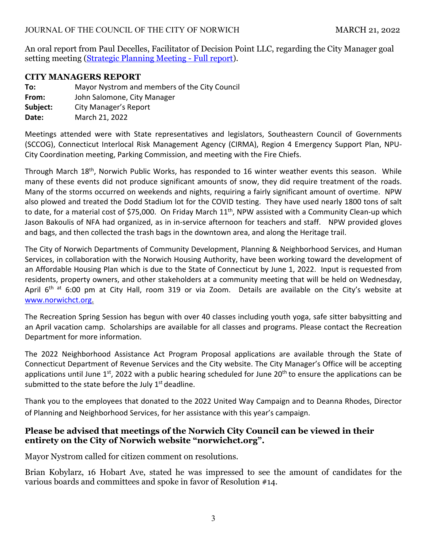An oral report from Paul Decelles, Facilitator of Decision Point LLC, regarding the City Manager goal setting meeting [\(Strategic Planning Meeting - Full report\)](https://www.norwichct.org/Archive.aspx?ADID=1167).

### **CITY MANAGERS REPORT**

**To:** Mayor Nystrom and members of the City Council **From:**  John Salomone, City Manager **Subject:** City Manager's Report **Date:** March 21, 2022

Meetings attended were with State representatives and legislators, Southeastern Council of Governments (SCCOG), Connecticut Interlocal Risk Management Agency (CIRMA), Region 4 Emergency Support Plan, NPU‐ City Coordination meeting, Parking Commission, and meeting with the Fire Chiefs.

Through March 18<sup>th</sup>, Norwich Public Works, has responded to 16 winter weather events this season. While many of these events did not produce significant amounts of snow, they did require treatment of the roads. Many of the storms occurred on weekends and nights, requiring a fairly significant amount of overtime. NPW also plowed and treated the Dodd Stadium lot for the COVID testing. They have used nearly 1800 tons of salt to date, for a material cost of \$75,000. On Friday March 11<sup>th</sup>, NPW assisted with a Community Clean-up which Jason Bakoulis of NFA had organized, as in in‐service afternoon for teachers and staff. NPW provided gloves and bags, and then collected the trash bags in the downtown area, and along the Heritage trail.

The City of Norwich Departments of Community Development, Planning & Neighborhood Services, and Human Services, in collaboration with the Norwich Housing Authority, have been working toward the development of an Affordable Housing Plan which is due to the State of Connecticut by June 1, 2022. Input is requested from residents, property owners, and other stakeholders at a community meeting that will be held on Wednesday, April 6<sup>th at</sup> 6:00 pm at City Hall, room 319 or via Zoom. Details are available on the City's website at www.norwichct.org.

The Recreation Spring Session has begun with over 40 classes including youth yoga, safe sitter babysitting and an April vacation camp. Scholarships are available for all classes and programs. Please contact the Recreation Department for more information.

The 2022 Neighborhood Assistance Act Program Proposal applications are available through the State of Connecticut Department of Revenue Services and the City website. The City Manager's Office will be accepting applications until June  $1^{st}$ , 2022 with a public hearing scheduled for June 20<sup>th</sup> to ensure the applications can be submitted to the state before the July  $1<sup>st</sup>$  deadline.

Thank you to the employees that donated to the 2022 United Way Campaign and to Deanna Rhodes, Director of Planning and Neighborhood Services, for her assistance with this year's campaign.

## **Please be advised that meetings of the Norwich City Council can be viewed in their entirety on the City of Norwich website "norwichct.org".**

Mayor Nystrom called for citizen comment on resolutions.

Brian Kobylarz, 16 Hobart Ave, stated he was impressed to see the amount of candidates for the various boards and committees and spoke in favor of Resolution #14.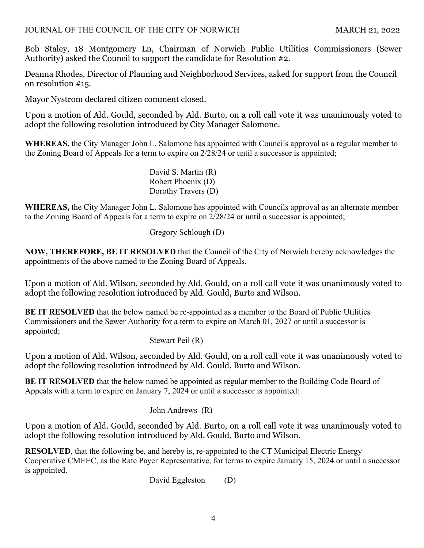Bob Staley, 18 Montgomery Ln, Chairman of Norwich Public Utilities Commissioners (Sewer Authority) asked the Council to support the candidate for Resolution #2.

Deanna Rhodes, Director of Planning and Neighborhood Services, asked for support from the Council on resolution #15.

Mayor Nystrom declared citizen comment closed.

Upon a motion of Ald. Gould, seconded by Ald. Burto, on a roll call vote it was unanimously voted to adopt the following resolution introduced by City Manager Salomone.

**WHEREAS,** the City Manager John L. Salomone has appointed with Councils approval as a regular member to the Zoning Board of Appeals for a term to expire on 2/28/24 or until a successor is appointed;

> David S. Martin (R) Robert Phoenix (D) Dorothy Travers (D)

**WHEREAS,** the City Manager John L. Salomone has appointed with Councils approval as an alternate member to the Zoning Board of Appeals for a term to expire on 2/28/24 or until a successor is appointed;

Gregory Schlough (D)

**NOW, THEREFORE, BE IT RESOLVED** that the Council of the City of Norwich hereby acknowledges the appointments of the above named to the Zoning Board of Appeals.

Upon a motion of Ald. Wilson, seconded by Ald. Gould, on a roll call vote it was unanimously voted to adopt the following resolution introduced by Ald. Gould, Burto and Wilson.

**BE IT RESOLVED** that the below named be re-appointed as a member to the Board of Public Utilities Commissioners and the Sewer Authority for a term to expire on March 01, 2027 or until a successor is appointed;

Stewart Peil (R)

Upon a motion of Ald. Wilson, seconded by Ald. Gould, on a roll call vote it was unanimously voted to adopt the following resolution introduced by Ald. Gould, Burto and Wilson.

**BE IT RESOLVED** that the below named be appointed as regular member to the Building Code Board of Appeals with a term to expire on January 7, 2024 or until a successor is appointed:

John Andrews (R)

Upon a motion of Ald. Gould, seconded by Ald. Burto, on a roll call vote it was unanimously voted to adopt the following resolution introduced by Ald. Gould, Burto and Wilson.

**RESOLVED**, that the following be, and hereby is, re-appointed to the CT Municipal Electric Energy Cooperative CMEEC, as the Rate Payer Representative, for terms to expire January 15, 2024 or until a successor is appointed.

David Eggleston (D)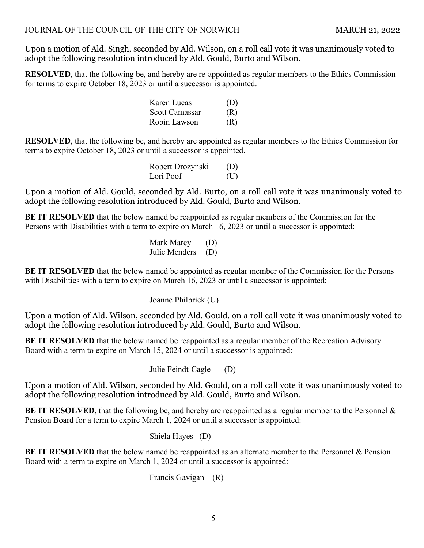Upon a motion of Ald. Singh, seconded by Ald. Wilson, on a roll call vote it was unanimously voted to adopt the following resolution introduced by Ald. Gould, Burto and Wilson.

**RESOLVED**, that the following be, and hereby are re-appointed as regular members to the Ethics Commission for terms to expire October 18, 2023 or until a successor is appointed.

| Karen Lucas    | (D) |
|----------------|-----|
| Scott Camassar | (R) |
| Robin Lawson   | (R) |

**RESOLVED**, that the following be, and hereby are appointed as regular members to the Ethics Commission for terms to expire October 18, 2023 or until a successor is appointed.

> Robert Drozynski (D) Lori Poof (U)

Upon a motion of Ald. Gould, seconded by Ald. Burto, on a roll call vote it was unanimously voted to adopt the following resolution introduced by Ald. Gould, Burto and Wilson.

**BE IT RESOLVED** that the below named be reappointed as regular members of the Commission for the Persons with Disabilities with a term to expire on March 16, 2023 or until a successor is appointed:

> Mark Marcy (D) Julie Menders (D)

**BE IT RESOLVED** that the below named be appointed as regular member of the Commission for the Persons with Disabilities with a term to expire on March 16, 2023 or until a successor is appointed:

Joanne Philbrick (U)

Upon a motion of Ald. Wilson, seconded by Ald. Gould, on a roll call vote it was unanimously voted to adopt the following resolution introduced by Ald. Gould, Burto and Wilson.

**BE IT RESOLVED** that the below named be reappointed as a regular member of the Recreation Advisory Board with a term to expire on March 15, 2024 or until a successor is appointed:

Julie Feindt-Cagle (D)

Upon a motion of Ald. Wilson, seconded by Ald. Gould, on a roll call vote it was unanimously voted to adopt the following resolution introduced by Ald. Gould, Burto and Wilson.

**BE IT RESOLVED**, that the following be, and hereby are reappointed as a regular member to the Personnel & Pension Board for a term to expire March 1, 2024 or until a successor is appointed:

Shiela Hayes (D)

**BE IT RESOLVED** that the below named be reappointed as an alternate member to the Personnel & Pension Board with a term to expire on March 1, 2024 or until a successor is appointed:

Francis Gavigan (R)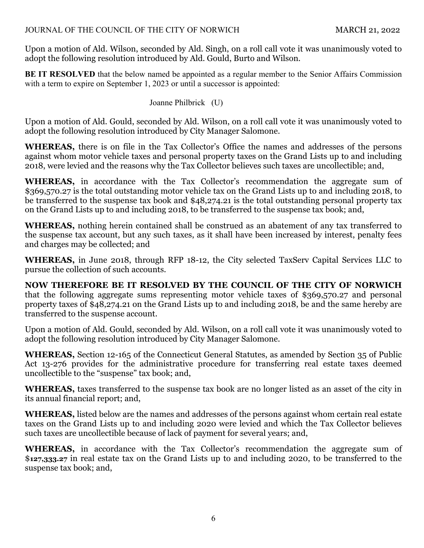Upon a motion of Ald. Wilson, seconded by Ald. Singh, on a roll call vote it was unanimously voted to adopt the following resolution introduced by Ald. Gould, Burto and Wilson.

**BE IT RESOLVED** that the below named be appointed as a regular member to the Senior Affairs Commission with a term to expire on September 1, 2023 or until a successor is appointed:

Joanne Philbrick (U)

Upon a motion of Ald. Gould, seconded by Ald. Wilson, on a roll call vote it was unanimously voted to adopt the following resolution introduced by City Manager Salomone.

**WHEREAS,** there is on file in the Tax Collector's Office the names and addresses of the persons against whom motor vehicle taxes and personal property taxes on the Grand Lists up to and including 2018, were levied and the reasons why the Tax Collector believes such taxes are uncollectible; and,

**WHEREAS,** in accordance with the Tax Collector's recommendation the aggregate sum of \$369,570.27 is the total outstanding motor vehicle tax on the Grand Lists up to and including 2018, to be transferred to the suspense tax book and \$48,274.21 is the total outstanding personal property tax on the Grand Lists up to and including 2018, to be transferred to the suspense tax book; and,

**WHEREAS,** nothing herein contained shall be construed as an abatement of any tax transferred to the suspense tax account, but any such taxes, as it shall have been increased by interest, penalty fees and charges may be collected; and

**WHEREAS,** in June 2018, through RFP 18-12, the City selected TaxServ Capital Services LLC to pursue the collection of such accounts.

**NOW THEREFORE BE IT RESOLVED BY THE COUNCIL OF THE CITY OF NORWICH**  that the following aggregate sums representing motor vehicle taxes of \$369,570.27 and personal property taxes of \$48,274.21 on the Grand Lists up to and including 2018, be and the same hereby are transferred to the suspense account.

Upon a motion of Ald. Gould, seconded by Ald. Wilson, on a roll call vote it was unanimously voted to adopt the following resolution introduced by City Manager Salomone.

**WHEREAS,** Section 12-165 of the Connecticut General Statutes, as amended by Section 35 of Public Act 13-276 provides for the administrative procedure for transferring real estate taxes deemed uncollectible to the "suspense" tax book; and,

**WHEREAS,** taxes transferred to the suspense tax book are no longer listed as an asset of the city in its annual financial report; and,

**WHEREAS,** listed below are the names and addresses of the persons against whom certain real estate taxes on the Grand Lists up to and including 2020 were levied and which the Tax Collector believes such taxes are uncollectible because of lack of payment for several years; and,

**WHEREAS,** in accordance with the Tax Collector's recommendation the aggregate sum of \$**127,333.27** in real estate tax on the Grand Lists up to and including 2020, to be transferred to the suspense tax book; and,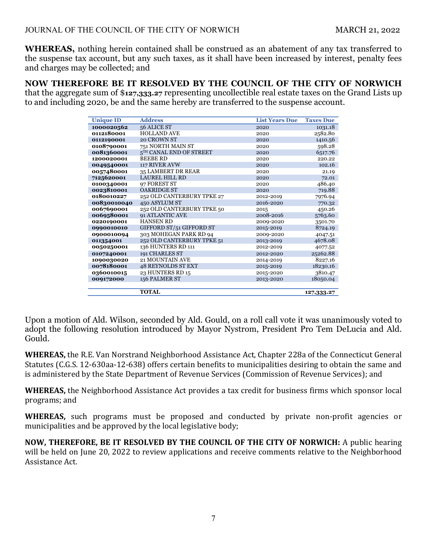**WHEREAS,** nothing herein contained shall be construed as an abatement of any tax transferred to the suspense tax account, but any such taxes, as it shall have been increased by interest, penalty fees and charges may be collected; and

**NOW THEREFORE BE IT RESOLVED BY THE COUNCIL OF THE CITY OF NORWICH**  that the aggregate sum of \$**127,333.27** representing uncollectible real estate taxes on the Grand Lists up to and including 2020, be and the same hereby are transferred to the suspense account.

| <b>Unique ID</b> | <b>Address</b>                      | <b>List Years Due</b> | <b>Taxes Due</b> |
|------------------|-------------------------------------|-----------------------|------------------|
| 1000020562       | 56 ALICE ST                         | 2020                  | 1031.18          |
| 0112180001       | <b>HOLLAND AVE</b>                  | 2020                  | 2582.80          |
| 0112190001       | 20 CROWN ST                         | 2020                  | 1410.56          |
| 0108790001       | 751 NORTH MAIN ST                   | 2020                  | 598.28           |
| 0081360001       | 5 <sup>TH</sup> CANAL END OF STREET | 2020                  | 6517.76          |
| 1200020001       | <b>BEEBE RD</b>                     | 2020                  | 220.22           |
| 0049540001       | 117 RIVER AVW                       | 2020                  | 102.16           |
| 0057480001       | 35 LAMBERT DR REAR                  | 2020                  | 21.19            |
| 7125620001       | <b>LAUREL HILL RD</b>               | 2020                  | 72.01            |
| 0100340001       | 97 FOREST ST                        | 2020                  | 486.40           |
| 0023810001       | <b>OAKRIDGE ST</b>                  | 2020                  | 719.88           |
| 0180010227       | 252 OLD CANTERBURY TPKE 27          | 2012-2019             | 7976.94          |
| 00830010040      | 450 ASYLUM ST                       | 2016-2020             | 770.32           |
| 0067690001       | 252 OLD CANTERBURY TPKE 50          | 2015                  | 450.26           |
| 0069580001       | <b>91 ATLANTIC AVE</b>              | 2008-2016             | 5763.60          |
| 0220190001       | <b>HANSEN RD</b>                    | 2009-2020             | 3501.70          |
| 0990010010       | GIFFORD ST/51 GIFFORD ST            | 2015-2019             | 8724.19          |
| 0900010094       | 303 MOHEGAN PARK RD 94              | 2009-2020             | 4047.51          |
| 011354001        | 252 OLD CANTERBURY TPKE 51          | 2013-2019             | 4678.08          |
| 0050250001       | 136 HUNTERS RD 111                  | 2012-2019             | 4077.52          |
| 0107240001       | 191 CHARLES ST                      | 2012-2020             | 25262.88         |
| 1090030020       | 21 MOUNTAIN AVE                     | 2014-2019             | 8227.16          |
| 0078180001       | <b>48 REYNOLDS ST EXT</b>           | 2015-2019             | 18230.16         |
| 0360010015       | 23 HUNTERS RD 15                    | 2015-2020             | 3810.47          |
| 009172000        | 156 PALMER ST                       | 2013-2020             | 18050.04         |
|                  |                                     |                       |                  |
|                  | <b>TOTAL</b>                        |                       | 127,333.27       |

Upon a motion of Ald. Wilson, seconded by Ald. Gould, on a roll call vote it was unanimously voted to adopt the following resolution introduced by Mayor Nystrom, President Pro Tem DeLucia and Ald. Gould.

**WHEREAS,** the R.E. Van Norstrand Neighborhood Assistance Act, Chapter 228a of the Connecticut General Statutes (C.G.S. 12-630aa-12-638) offers certain benefits to municipalities desiring to obtain the same and is administered by the State Department of Revenue Services (Commission of Revenue Services); and

**WHEREAS,** the Neighborhood Assistance Act provides a tax credit for business firms which sponsor local programs; and

**WHEREAS,** such programs must be proposed and conducted by private non-profit agencies or municipalities and be approved by the local legislative body;

**NOW, THEREFORE, BE IT RESOLVED BY THE COUNCIL OF THE CITY OF NORWICH:** A public hearing will be held on June 20, 2022 to review applications and receive comments relative to the Neighborhood Assistance Act.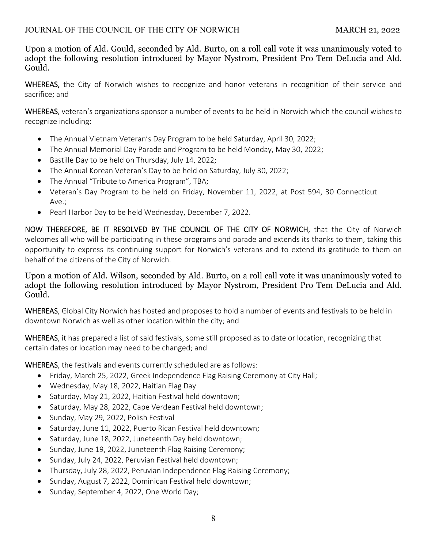Upon a motion of Ald. Gould, seconded by Ald. Burto, on a roll call vote it was unanimously voted to adopt the following resolution introduced by Mayor Nystrom, President Pro Tem DeLucia and Ald. Gould.

WHEREAS, the City of Norwich wishes to recognize and honor veterans in recognition of their service and sacrifice; and

WHEREAS, veteran's organizations sponsor a number of events to be held in Norwich which the council wishes to recognize including:

- The Annual Vietnam Veteran's Day Program to be held Saturday, April 30, 2022;
- The Annual Memorial Day Parade and Program to be held Monday, May 30, 2022;
- Bastille Day to be held on Thursday, July 14, 2022;
- The Annual Korean Veteran's Day to be held on Saturday, July 30, 2022;
- The Annual "Tribute to America Program", TBA;
- Veteran's Day Program to be held on Friday, November 11, 2022, at Post 594, 30 Connecticut Ave.;
- Pearl Harbor Day to be held Wednesday, December 7, 2022.

NOW THEREFORE, BE IT RESOLVED BY THE COUNCIL OF THE CITY OF NORWICH, that the City of Norwich welcomes all who will be participating in these programs and parade and extends its thanks to them, taking this opportunity to express its continuing support for Norwich's veterans and to extend its gratitude to them on behalf of the citizens of the City of Norwich.

Upon a motion of Ald. Wilson, seconded by Ald. Burto, on a roll call vote it was unanimously voted to adopt the following resolution introduced by Mayor Nystrom, President Pro Tem DeLucia and Ald. Gould.

WHEREAS, Global City Norwich has hosted and proposes to hold a number of events and festivals to be held in downtown Norwich as well as other location within the city; and

WHEREAS, it has prepared a list of said festivals, some still proposed as to date or location, recognizing that certain dates or location may need to be changed; and

WHEREAS, the festivals and events currently scheduled are as follows:

- Friday, March 25, 2022, Greek Independence Flag Raising Ceremony at City Hall;
- Wednesday, May 18, 2022, Haitian Flag Day
- Saturday, May 21, 2022, Haitian Festival held downtown;
- Saturday, May 28, 2022, Cape Verdean Festival held downtown;
- Sunday, May 29, 2022, Polish Festival
- Saturday, June 11, 2022, Puerto Rican Festival held downtown;
- Saturday, June 18, 2022, Juneteenth Day held downtown;
- Sunday, June 19, 2022, Juneteenth Flag Raising Ceremony;
- Sunday, July 24, 2022, Peruvian Festival held downtown;
- Thursday, July 28, 2022, Peruvian Independence Flag Raising Ceremony;
- Sunday, August 7, 2022, Dominican Festival held downtown;
- Sunday, September 4, 2022, One World Day;